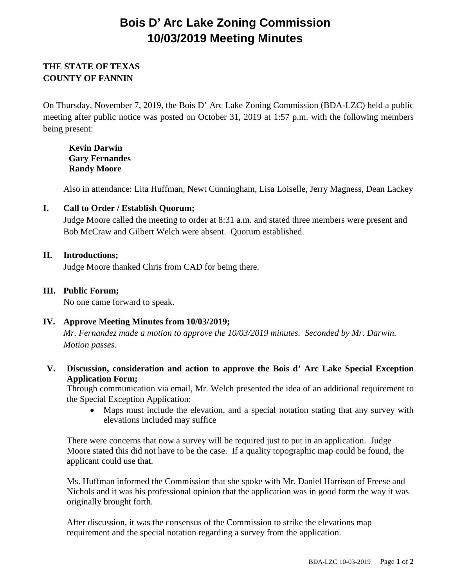# **Bois D' Arc Lake Zoning Commission 10/03/2019 Meeting Minutes**

## **THE STATE OF TEXAS COUNTY OF FANNIN**

On Thursday, November 7, 2019, the Bois D' Arc Lake Zoning Commission (BDA-LZC) held a public meeting after public notice was posted on October 31, 2019 at 1:57 p.m. with the following members being present:

**Kevin Darwin Gary Fernandes Randy Moore**

Also in attendance: Lita Huffman, Newt Cunningham, Lisa Loiselle, Jerry Magness, Dean Lackey

#### **I. Call to Order / Establish Quorum;**

Judge Moore called the meeting to order at 8:31 a.m. and stated three members were present and Bob McCraw and Gilbert Welch were absent. Quorum established.

#### **II. Introductions;**

Judge Moore thanked Chris from CAD for being there.

#### **III. Public Forum;**

No one came forward to speak.

### **IV. Approve Meeting Minutes from 10/03/2019;**

*Mr. Fernandez made a motion to approve the 10/03/2019 minutes. Seconded by Mr. Darwin. Motion passes.* 

**V. Discussion, consideration and action to approve the Bois d' Arc Lake Special Exception Application Form;**

Through communication via email, Mr. Welch presented the idea of an additional requirement to the Special Exception Application:

• Maps must include the elevation, and a special notation stating that any survey with elevations included may suffice

There were concerns that now a survey will be required just to put in an application. Judge Moore stated this did not have to be the case. If a quality topographic map could be found, the applicant could use that.

Ms. Huffman informed the Commission that she spoke with Mr. Daniel Harrison of Freese and Nichols and it was his professional opinion that the application was in good form the way it was originally brought forth.

After discussion, it was the consensus of the Commission to strike the elevations map requirement and the special notation regarding a survey from the application.